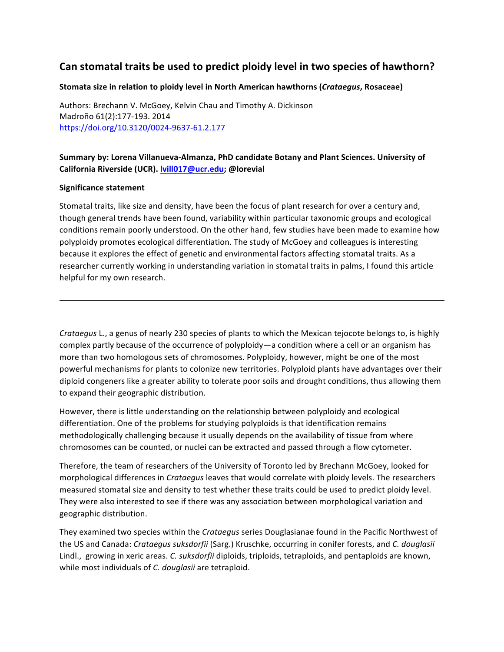## Can stomatal traits be used to predict ploidy level in two species of hawthorn?

## **Stomata size in relation to ploidy level in North American hawthorns (***Crataegus***, Rosaceae)**

Authors: Brechann V. McGoey, Kelvin Chau and Timothy A. Dickinson Madroño 61(2):177-193. 2014 https://doi.org/10.3120/0024-9637-61.2.177

## Summary by: Lorena Villanueva-Almanza, PhD candidate Botany and Plant Sciences. University of **California Riverside (UCR). lvill017@ucr.edu; @lorevial**

## **Significance statement**

Stomatal traits, like size and density, have been the focus of plant research for over a century and, though general trends have been found, variability within particular taxonomic groups and ecological conditions remain poorly understood. On the other hand, few studies have been made to examine how polyploidy promotes ecological differentiation. The study of McGoey and colleagues is interesting because it explores the effect of genetic and environmental factors affecting stomatal traits. As a researcher currently working in understanding variation in stomatal traits in palms, I found this article helpful for my own research.

*Crataegus* L., a genus of nearly 230 species of plants to which the Mexican tejocote belongs to, is highly complex partly because of the occurrence of polyploidy—a condition where a cell or an organism has more than two homologous sets of chromosomes. Polyploidy, however, might be one of the most powerful mechanisms for plants to colonize new territories. Polyploid plants have advantages over their diploid congeners like a greater ability to tolerate poor soils and drought conditions, thus allowing them to expand their geographic distribution.

However, there is little understanding on the relationship between polyploidy and ecological differentiation. One of the problems for studying polyploids is that identification remains methodologically challenging because it usually depends on the availability of tissue from where chromosomes can be counted, or nuclei can be extracted and passed through a flow cytometer.

Therefore, the team of researchers of the University of Toronto led by Brechann McGoey, looked for morphological differences in *Crataegus* leaves that would correlate with ploidy levels. The researchers measured stomatal size and density to test whether these traits could be used to predict ploidy level. They were also interested to see if there was any association between morphological variation and geographic distribution. 

They examined two species within the *Crataegus* series Douglasianae found in the Pacific Northwest of the US and Canada: *Crataegus suksdorfii* (Sarg.) Kruschke, occurring in conifer forests, and *C. douglasii* Lindl., growing in xeric areas. *C. suksdorfii* diploids, triploids, tetraploids, and pentaploids are known, while most individuals of *C. douglasii* are tetraploid.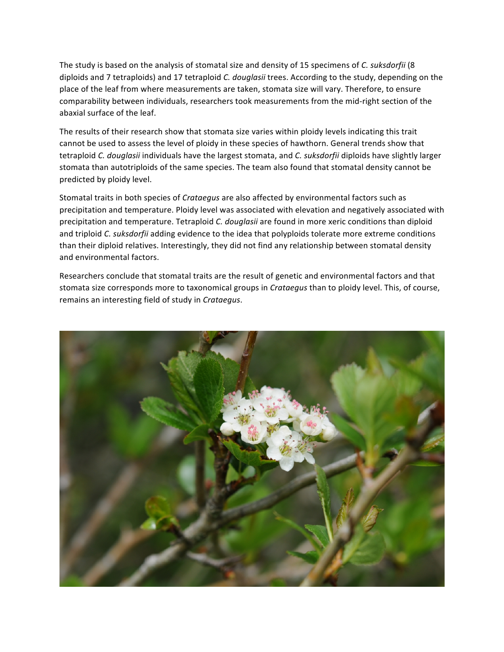The study is based on the analysis of stomatal size and density of 15 specimens of *C. suksdorfii* (8 diploids and 7 tetraploids) and 17 tetraploid *C. douglasii* trees. According to the study, depending on the place of the leaf from where measurements are taken, stomata size will vary. Therefore, to ensure comparability between individuals, researchers took measurements from the mid-right section of the abaxial surface of the leaf.

The results of their research show that stomata size varies within ploidy levels indicating this trait cannot be used to assess the level of ploidy in these species of hawthorn. General trends show that tetraploid *C. douglasii* individuals have the largest stomata, and *C. suksdorfii* diploids have slightly larger stomata than autotriploids of the same species. The team also found that stomatal density cannot be predicted by ploidy level.

Stomatal traits in both species of *Crataegus* are also affected by environmental factors such as precipitation and temperature. Ploidy level was associated with elevation and negatively associated with precipitation and temperature. Tetraploid *C. douglasii* are found in more xeric conditions than diploid and triploid *C. suksdorfii* adding evidence to the idea that polyploids tolerate more extreme conditions than their diploid relatives. Interestingly, they did not find any relationship between stomatal density and environmental factors.

Researchers conclude that stomatal traits are the result of genetic and environmental factors and that stomata size corresponds more to taxonomical groups in *Crataegus* than to ploidy level. This, of course, remains an interesting field of study in *Crataegus*.